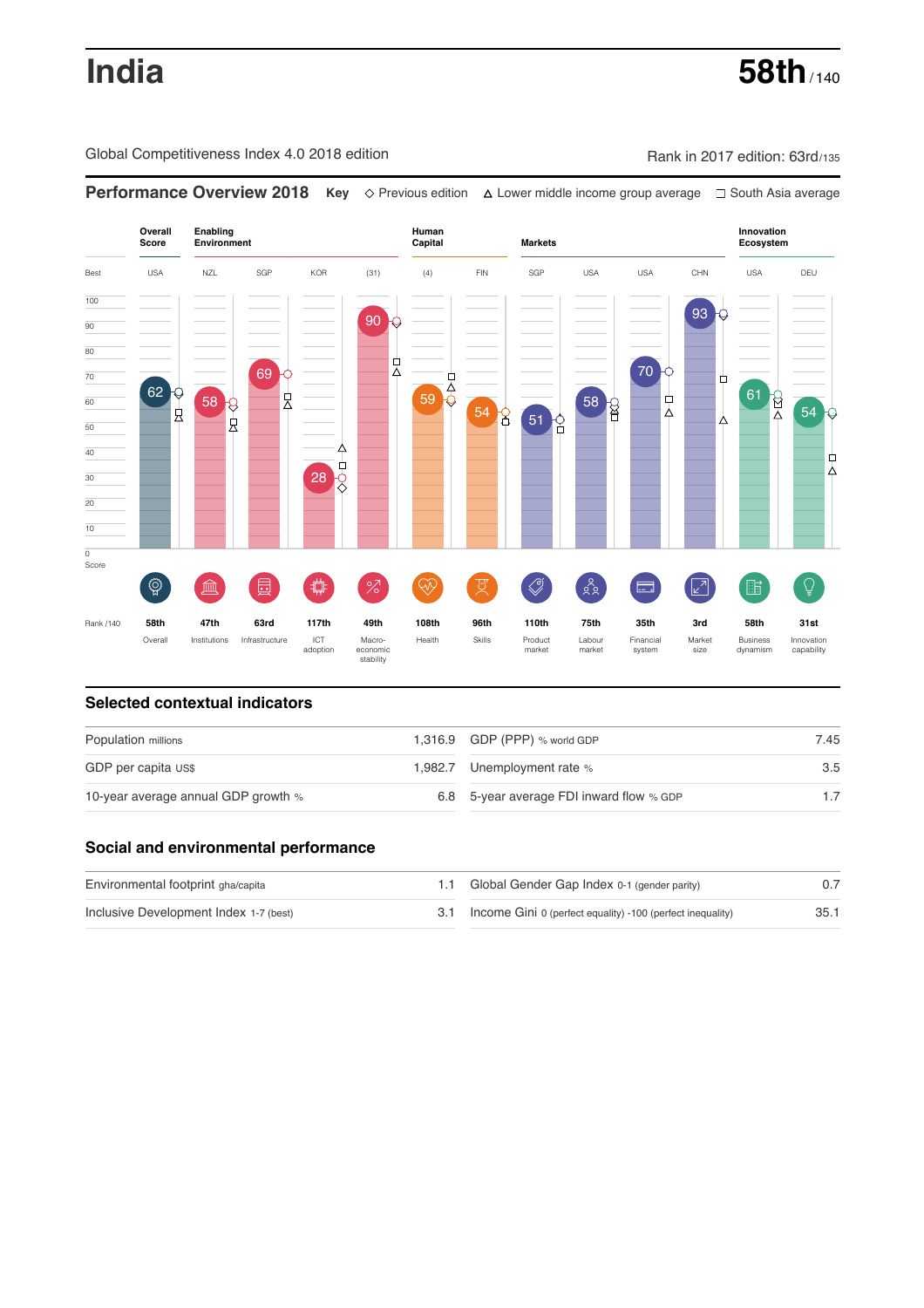# **India** 58th<sub>/140</sub>

Global Competitiveness Index 4.0 2018 edition Company Rank in 2017 edition: 63rd/135

**Performance Overview 2018 Key** Previous edition Lower middle income group average South Asia average **Overall Innovation Enabling Environment Human Capital Markets Score Ecosystem** Best USA NZL SGP KOR (31) (4) FIN SGP USA USA CHN USA DEU 100 93 90  $\overline{90}$ 80 붓 70 69 70  $\frac{1}{59}$   $\frac{1}{9}$  $\Box$ 62 61 8 눳 58 B 다<br>4 60 58 Q 54 8 54 良 51 9 k Δ 50 40 ф 28 2 Δ 30 20 10  $\overline{\text{o}}$ Score ៍{៌្ម}  $\bigotimes$  $28$  $\overline{Q}$ **ledge (** 茴  $\overline{O}$ Ŵ ਸ਼ੁ 击  $\sqrt{2}$ 酯 匮 Rank /140 **58th 47th 63rd 117th 49th 108th 96th 110th 75th 35th 3rd 58th 31st** Overall Institutions Infrastructure ICT<br>adoption adoption Macro- economic stability Health Skills Product market Labour<br>market Financial system Market size Business dynamism Innovation capability

### **Selected contextual indicators**

| Population millions                 | 1,316.9 GDP (PPP) % world GDP            | 7.45 |  |
|-------------------------------------|------------------------------------------|------|--|
| GDP per capita US\$                 | 1,982.7 Unemployment rate %              | 3.5  |  |
| 10-year average annual GDP growth % | 6.8 5-year average FDI inward flow % GDP |      |  |

### **Social and environmental performance**

| Environmental footprint gha/capita     | 1.1 Global Gender Gap Index 0-1 (gender parity)                |      |
|----------------------------------------|----------------------------------------------------------------|------|
| Inclusive Development Index 1-7 (best) | 3.1 Income Gini 0 (perfect equality) -100 (perfect inequality) | 35.1 |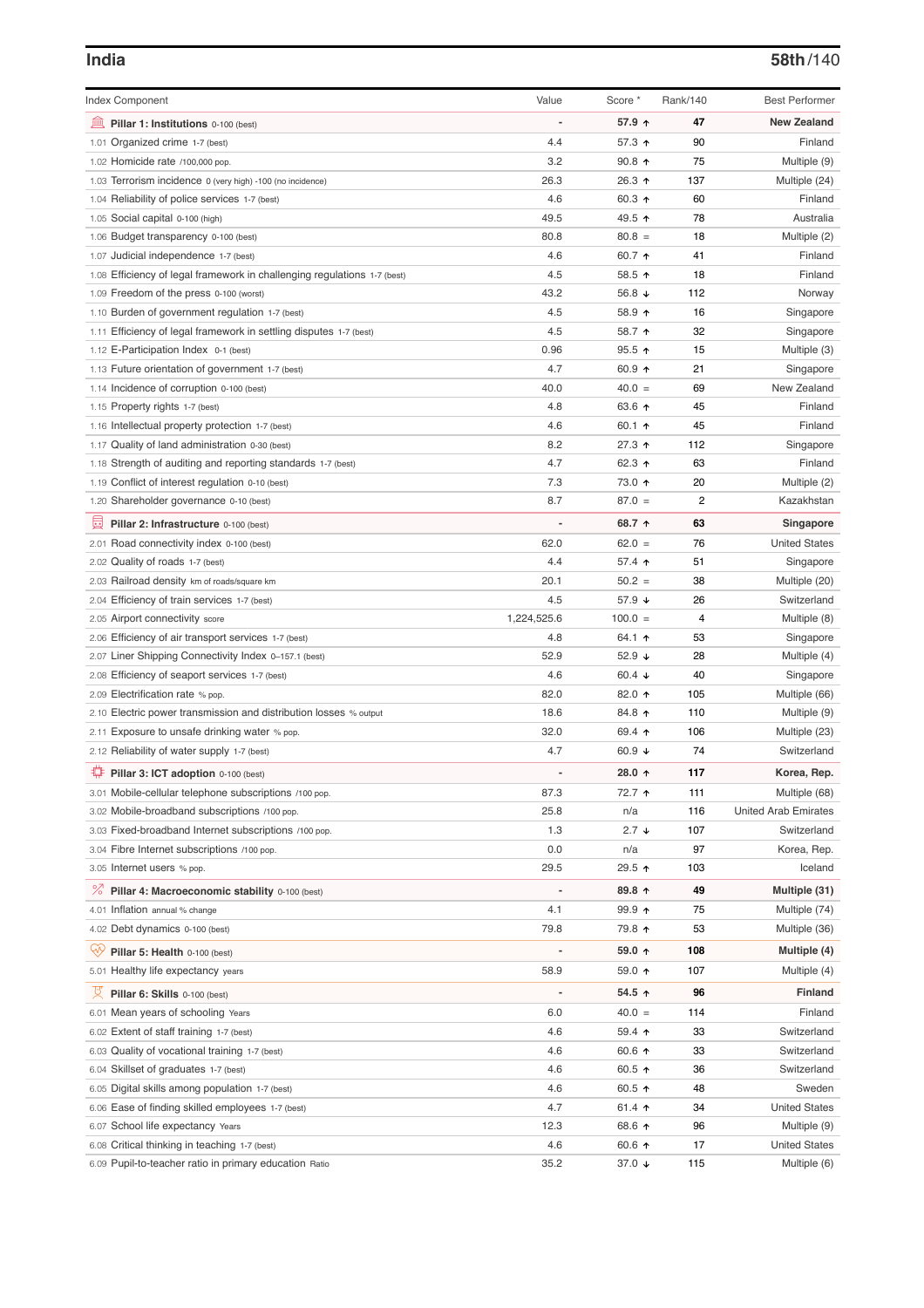| <b>Index Component</b>                                                   | Value                        | Score *          | Rank/140       | <b>Best Performer</b>       |
|--------------------------------------------------------------------------|------------------------------|------------------|----------------|-----------------------------|
| 寙<br>Pillar 1: Institutions 0-100 (best)                                 |                              | 57.9 ↑           | 47             | <b>New Zealand</b>          |
| 1.01 Organized crime 1-7 (best)                                          | 4.4                          | 57.3 ↑           | 90             | Finland                     |
| 1.02 Homicide rate /100,000 pop.                                         | 3.2                          | 90.8 $\uparrow$  | 75             | Multiple (9)                |
| 1.03 Terrorism incidence 0 (very high) -100 (no incidence)               | 26.3                         | 26.3 ↑           | 137            | Multiple (24)               |
| 1.04 Reliability of police services 1-7 (best)                           | 4.6                          | 60.3 $\uparrow$  | 60             | Finland                     |
| 1.05 Social capital 0-100 (high)                                         | 49.5                         | 49.5 ↑           | 78             | Australia                   |
| 1.06 Budget transparency 0-100 (best)                                    | 80.8                         | $80.8 =$         | 18             | Multiple (2)                |
| 1.07 Judicial independence 1-7 (best)                                    | 4.6                          | 60.7 ↑           | 41             | Finland                     |
| 1.08 Efficiency of legal framework in challenging regulations 1-7 (best) | 4.5                          | 58.5 ↑           | 18             | Finland                     |
| 1.09 Freedom of the press 0-100 (worst)                                  | 43.2                         | 56.8 $\sqrt{ }$  | 112            | Norway                      |
| 1.10 Burden of government regulation 1-7 (best)                          | 4.5                          | 58.9 ↑           | 16             | Singapore                   |
| 1.11 Efficiency of legal framework in settling disputes 1-7 (best)       | 4.5                          | 58.7 ↑           | 32             | Singapore                   |
| 1.12 E-Participation Index 0-1 (best)                                    | 0.96                         | $95.5$ ↑         | 15             | Multiple (3)                |
| 1.13 Future orientation of government 1-7 (best)                         | 4.7                          | 60.9 $\uparrow$  | 21             | Singapore                   |
| 1.14 Incidence of corruption 0-100 (best)                                | 40.0                         | $40.0 =$         | 69             | New Zealand                 |
| 1.15 Property rights 1-7 (best)                                          | 4.8                          | 63.6 ↑           | 45             | Finland                     |
| 1.16 Intellectual property protection 1-7 (best)                         | 4.6                          | 60.1 $\uparrow$  | 45             | Finland                     |
| 1.17 Quality of land administration 0-30 (best)                          | 8.2                          | 27.3 ↑           | 112            | Singapore                   |
| 1.18 Strength of auditing and reporting standards 1-7 (best)             | 4.7                          | 62.3 $\uparrow$  | 63             | Finland                     |
| 1.19 Conflict of interest regulation 0-10 (best)                         | 7.3                          | 73.0 ↑           | 20             | Multiple (2)                |
| 1.20 Shareholder governance 0-10 (best)                                  | 8.7                          | $87.0 =$         | $\overline{2}$ | Kazakhstan                  |
| 囩<br>Pillar 2: Infrastructure 0-100 (best)                               | $\qquad \qquad \blacksquare$ | 68.7 ↑           | 63             | Singapore                   |
| 2.01 Road connectivity index 0-100 (best)                                | 62.0                         | $62.0 =$         | 76             | <b>United States</b>        |
| 2.02 Quality of roads 1-7 (best)                                         | 4.4                          | 57.4 $\uparrow$  | 51             | Singapore                   |
| 2.03 Railroad density km of roads/square km                              | 20.1                         | $50.2 =$         | 38             | Multiple (20)               |
| 2.04 Efficiency of train services 1-7 (best)                             | 4.5                          | 57.9 $\sqrt{ }$  | 26             | Switzerland                 |
| 2.05 Airport connectivity score                                          | 1,224,525.6                  | $100.0 =$        | 4              | Multiple (8)                |
| 2.06 Efficiency of air transport services 1-7 (best)                     | 4.8                          | 64.1 $\uparrow$  | 53             | Singapore                   |
| 2.07 Liner Shipping Connectivity Index 0-157.1 (best)                    | 52.9                         | 52.9 $\sqrt{ }$  | 28             | Multiple (4)                |
| 2.08 Efficiency of seaport services 1-7 (best)                           | 4.6                          | 60.4 $\sqrt{ }$  | 40             | Singapore                   |
| 2.09 Electrification rate % pop.                                         | 82.0                         | 82.0 ↑           | 105            | Multiple (66)               |
| 2.10 Electric power transmission and distribution losses % output        | 18.6                         | 84.8 ↑           | 110            | Multiple (9)                |
| 2.11 Exposure to unsafe drinking water % pop.                            | 32.0                         | 69.4 $\uparrow$  | 106            | Multiple (23)               |
| 2.12 Reliability of water supply 1-7 (best)                              | 4.7                          | 60.9 $\sqrt{ }$  | 74             | Switzerland                 |
|                                                                          |                              |                  |                |                             |
| ₽<br>Pillar 3: ICT adoption 0-100 (best)                                 |                              | 28.0 $\uparrow$  | 117            | Korea, Rep.                 |
| 3.01 Mobile-cellular telephone subscriptions /100 pop.                   | 87.3                         | 72.7 ↑           | 111            | Multiple (68)               |
| 3.02 Mobile-broadband subscriptions /100 pop.                            | 25.8                         | n/a              | 116            | <b>United Arab Emirates</b> |
| 3.03 Fixed-broadband Internet subscriptions /100 pop.                    | 1.3                          | $2.7 +$          | 107            | Switzerland                 |
| 3.04 Fibre Internet subscriptions /100 pop.                              | 0.0                          | n/a              | 97             | Korea, Rep.                 |
| 3.05 Internet users % pop.                                               | 29.5                         | 29.5 ↑           | 103            | Iceland                     |
| <sup>%</sup> Pillar 4: Macroeconomic stability 0-100 (best)              |                              | 89.8 ↑           | 49             | Multiple (31)               |
| 4.01 Inflation annual % change                                           | 4.1                          | $99.9 \text{ A}$ | 75             | Multiple (74)               |
| 4.02 Debt dynamics 0-100 (best)                                          | 79.8                         | 79.8 ↑           | 53             | Multiple (36)               |
| ₩<br>Pillar 5: Health 0-100 (best)                                       |                              | 59.0 $\uparrow$  | 108            | Multiple (4)                |
| 5.01 Healthy life expectancy years                                       | 58.9                         | 59.0 $\uparrow$  | 107            | Multiple (4)                |
| 섯<br>Pillar 6: Skills 0-100 (best)                                       |                              | 54.5 ↑           | 96             | <b>Finland</b>              |
| 6.01 Mean years of schooling Years                                       | 6.0                          | $40.0 =$         | 114            | Finland                     |
| 6.02 Extent of staff training 1-7 (best)                                 | 4.6                          | $59.4$ 1         | 33             | Switzerland                 |
| 6.03 Quality of vocational training 1-7 (best)                           | 4.6                          | 60.6 $\uparrow$  | 33             | Switzerland                 |
| 6.04 Skillset of graduates 1-7 (best)                                    | 4.6                          | 60.5 $\uparrow$  | 36             | Switzerland                 |
| 6.05 Digital skills among population 1-7 (best)                          | 4.6                          | 60.5 $\uparrow$  | 48             | Sweden                      |
| 6.06 Ease of finding skilled employees 1-7 (best)                        | 4.7                          | 61.4 $\uparrow$  | 34             | <b>United States</b>        |
| 6.07 School life expectancy Years                                        | 12.3                         | 68.6 ↑           | 96             | Multiple (9)                |
| 6.08 Critical thinking in teaching 1-7 (best)                            | 4.6                          | 60.6 $\uparrow$  | 17             | <b>United States</b>        |
| 6.09 Pupil-to-teacher ratio in primary education Ratio                   | 35.2                         | 37.0 ↓           | 115            | Multiple (6)                |